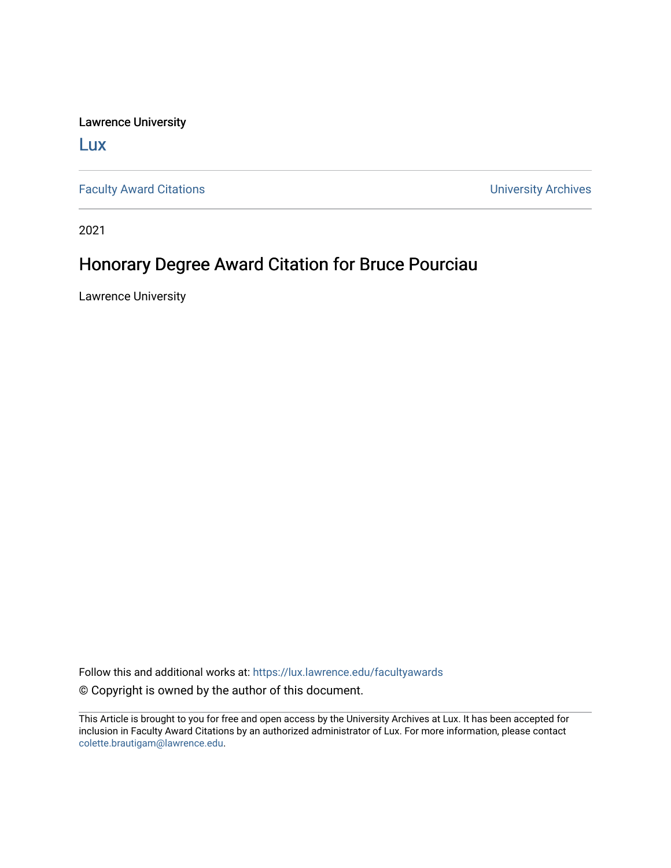Lawrence University

[Lux](https://lux.lawrence.edu/)

[Faculty Award Citations](https://lux.lawrence.edu/facultyawards) **Example 2018** 2019 12:30 Number 2019 12:30 Number 2019 12:30 Number 2019 12:30 Number 2019 12:30 Number 2019 12:30 Number 2019 12:30 Number 2019 12:30 Number 2019 12:30 Number 2019 12:30 Number 201

2021

## Honorary Degree Award Citation for Bruce Pourciau

Lawrence University

Follow this and additional works at: [https://lux.lawrence.edu/facultyawards](https://lux.lawrence.edu/facultyawards?utm_source=lux.lawrence.edu%2Ffacultyawards%2F208&utm_medium=PDF&utm_campaign=PDFCoverPages)  © Copyright is owned by the author of this document.

This Article is brought to you for free and open access by the University Archives at Lux. It has been accepted for inclusion in Faculty Award Citations by an authorized administrator of Lux. For more information, please contact [colette.brautigam@lawrence.edu.](mailto:colette.brautigam@lawrence.edu)